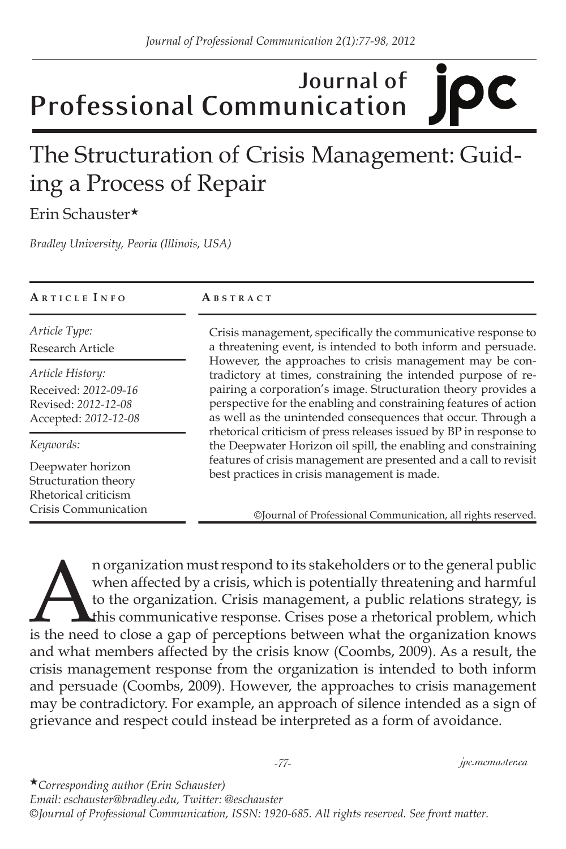### **Journal of**  IC **Professional Communication**

# The Structuration of Crisis Management: Guiding a Process of Repair

Erin Schauster★

*Bradley University, Peoria (Illinois, USA)*

| ARTICLE INFO                      | ABSTRACT                                                                                                                                                                                                                                                    |  |
|-----------------------------------|-------------------------------------------------------------------------------------------------------------------------------------------------------------------------------------------------------------------------------------------------------------|--|
| Article Type:<br>Research Article | Crisis management, specifically the communicative response to<br>a threatening event, is intended to both inform and persuade.<br>However, the approaches to crisis management may be con-<br>tradictory at times, constraining the intended purpose of re- |  |
| Article History:                  |                                                                                                                                                                                                                                                             |  |
| Received: 2012-09-16              | pairing a corporation's image. Structuration theory provides a                                                                                                                                                                                              |  |
| Revised: 2012-12-08               | perspective for the enabling and constraining features of action                                                                                                                                                                                            |  |
| Accepted: 2012-12-08              | as well as the unintended consequences that occur. Through a<br>rhetorical criticism of press releases issued by BP in response to                                                                                                                          |  |
| Keywords:                         | the Deepwater Horizon oil spill, the enabling and constraining                                                                                                                                                                                              |  |
| Deepwater horizon                 | features of crisis management are presented and a call to revisit                                                                                                                                                                                           |  |
| Structuration theory              | best practices in crisis management is made.                                                                                                                                                                                                                |  |
| Rhetorical criticism              |                                                                                                                                                                                                                                                             |  |
| Crisis Communication              | ©Journal of Professional Communication, all rights reserved.                                                                                                                                                                                                |  |

a n organization must respond to its stakeholders or to the general public when affected by a crisis, which is potentially threatening and harmful to the organization. Crisis management, a public relations strategy, is thi when affected by a crisis, which is potentially threatening and harmful to the organization. Crisis management, a public relations strategy, is this communicative response. Crises pose a rhetorical problem, which and what members affected by the crisis know (Coombs, 2009). As a result, the crisis management response from the organization is intended to both inform and persuade (Coombs, 2009). However, the approaches to crisis management may be contradictory. For example, an approach of silence intended as a sign of grievance and respect could instead be interpreted as a form of avoidance.

★*Corresponding author (Erin Schauster) Email: eschauster@bradley.edu, Twitter: @eschauster ©Journal of Professional Communication, ISSN: 1920-685. All rights reserved. See front matter.*

#### *-77- jpc.mcmaster.ca*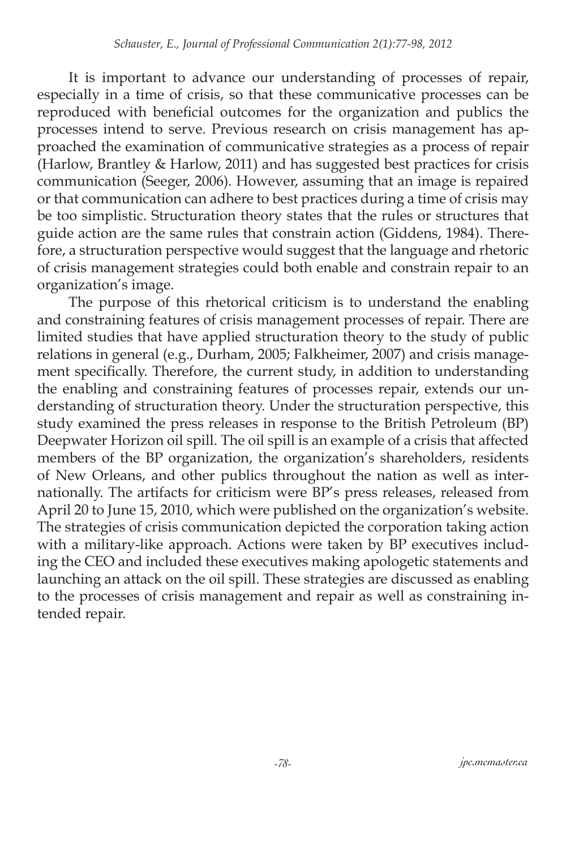It is important to advance our understanding of processes of repair, especially in a time of crisis, so that these communicative processes can be reproduced with beneficial outcomes for the organization and publics the processes intend to serve. Previous research on crisis management has approached the examination of communicative strategies as a process of repair (Harlow, Brantley & Harlow, 2011) and has suggested best practices for crisis communication (Seeger, 2006). However, assuming that an image is repaired or that communication can adhere to best practices during a time of crisis may be too simplistic. Structuration theory states that the rules or structures that guide action are the same rules that constrain action (Giddens, 1984). Therefore, a structuration perspective would suggest that the language and rhetoric of crisis management strategies could both enable and constrain repair to an organization's image.

The purpose of this rhetorical criticism is to understand the enabling and constraining features of crisis management processes of repair. There are limited studies that have applied structuration theory to the study of public relations in general (e.g., Durham, 2005; Falkheimer, 2007) and crisis management specifically. Therefore, the current study, in addition to understanding the enabling and constraining features of processes repair, extends our understanding of structuration theory. Under the structuration perspective, this study examined the press releases in response to the British Petroleum (BP) Deepwater Horizon oil spill. The oil spill is an example of a crisis that affected members of the BP organization, the organization's shareholders, residents of New Orleans, and other publics throughout the nation as well as internationally. The artifacts for criticism were BP's press releases, released from April 20 to June 15, 2010, which were published on the organization's website. The strategies of crisis communication depicted the corporation taking action with a military-like approach. Actions were taken by BP executives including the CEO and included these executives making apologetic statements and launching an attack on the oil spill. These strategies are discussed as enabling to the processes of crisis management and repair as well as constraining intended repair.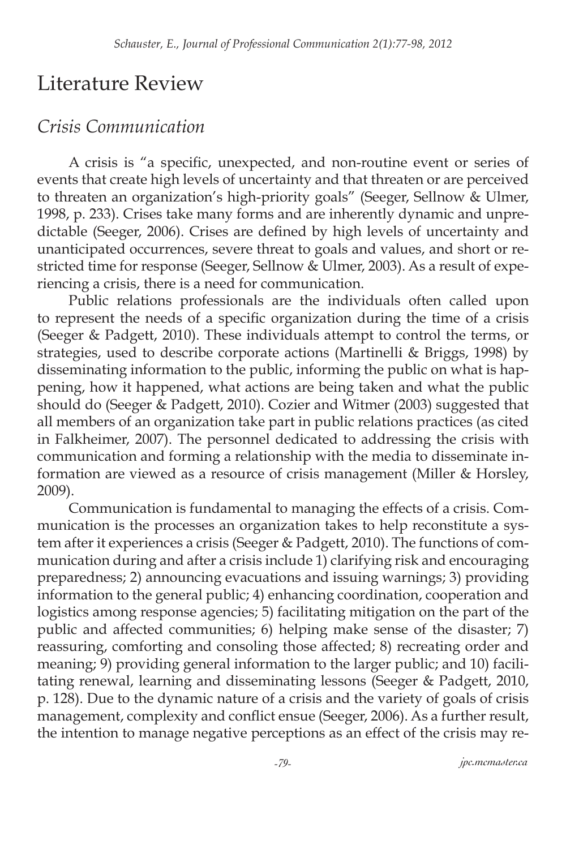### Literature Review

### *Crisis Communication*

A crisis is "a specific, unexpected, and non-routine event or series of events that create high levels of uncertainty and that threaten or are perceived to threaten an organization's high-priority goals" (Seeger, Sellnow & Ulmer, 1998, p. 233). Crises take many forms and are inherently dynamic and unpredictable (Seeger, 2006). Crises are defined by high levels of uncertainty and unanticipated occurrences, severe threat to goals and values, and short or restricted time for response (Seeger, Sellnow & Ulmer, 2003). As a result of experiencing a crisis, there is a need for communication.

Public relations professionals are the individuals often called upon to represent the needs of a specific organization during the time of a crisis (Seeger & Padgett, 2010). These individuals attempt to control the terms, or strategies, used to describe corporate actions (Martinelli & Briggs, 1998) by disseminating information to the public, informing the public on what is happening, how it happened, what actions are being taken and what the public should do (Seeger & Padgett, 2010). Cozier and Witmer (2003) suggested that all members of an organization take part in public relations practices (as cited in Falkheimer, 2007). The personnel dedicated to addressing the crisis with communication and forming a relationship with the media to disseminate information are viewed as a resource of crisis management (Miller & Horsley, 2009).

Communication is fundamental to managing the effects of a crisis. Communication is the processes an organization takes to help reconstitute a system after it experiences a crisis (Seeger & Padgett, 2010). The functions of communication during and after a crisis include 1) clarifying risk and encouraging preparedness; 2) announcing evacuations and issuing warnings; 3) providing information to the general public; 4) enhancing coordination, cooperation and logistics among response agencies; 5) facilitating mitigation on the part of the public and affected communities; 6) helping make sense of the disaster; 7) reassuring, comforting and consoling those affected; 8) recreating order and meaning; 9) providing general information to the larger public; and 10) facilitating renewal, learning and disseminating lessons (Seeger & Padgett, 2010, p. 128). Due to the dynamic nature of a crisis and the variety of goals of crisis management, complexity and conflict ensue (Seeger, 2006). As a further result, the intention to manage negative perceptions as an effect of the crisis may re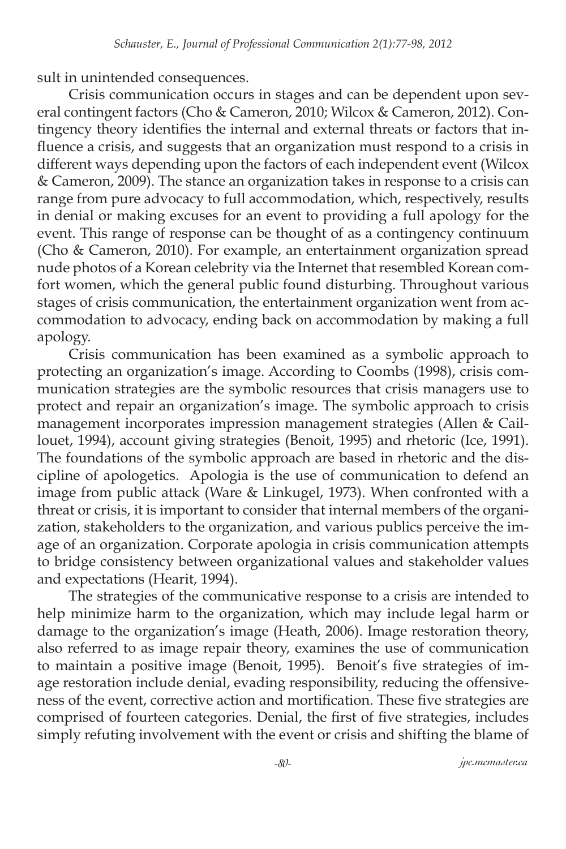sult in unintended consequences.

Crisis communication occurs in stages and can be dependent upon several contingent factors (Cho & Cameron, 2010; Wilcox & Cameron, 2012). Contingency theory identifies the internal and external threats or factors that influence a crisis, and suggests that an organization must respond to a crisis in different ways depending upon the factors of each independent event (Wilcox & Cameron, 2009). The stance an organization takes in response to a crisis can range from pure advocacy to full accommodation, which, respectively, results in denial or making excuses for an event to providing a full apology for the event. This range of response can be thought of as a contingency continuum (Cho & Cameron, 2010). For example, an entertainment organization spread nude photos of a Korean celebrity via the Internet that resembled Korean comfort women, which the general public found disturbing. Throughout various stages of crisis communication, the entertainment organization went from accommodation to advocacy, ending back on accommodation by making a full apology.

Crisis communication has been examined as a symbolic approach to protecting an organization's image. According to Coombs (1998), crisis communication strategies are the symbolic resources that crisis managers use to protect and repair an organization's image. The symbolic approach to crisis management incorporates impression management strategies (Allen & Caillouet, 1994), account giving strategies (Benoit, 1995) and rhetoric (Ice, 1991). The foundations of the symbolic approach are based in rhetoric and the discipline of apologetics. Apologia is the use of communication to defend an image from public attack (Ware & Linkugel, 1973). When confronted with a threat or crisis, it is important to consider that internal members of the organization, stakeholders to the organization, and various publics perceive the image of an organization. Corporate apologia in crisis communication attempts to bridge consistency between organizational values and stakeholder values and expectations (Hearit, 1994).

The strategies of the communicative response to a crisis are intended to help minimize harm to the organization, which may include legal harm or damage to the organization's image (Heath, 2006). Image restoration theory, also referred to as image repair theory, examines the use of communication to maintain a positive image (Benoit, 1995). Benoit's five strategies of image restoration include denial, evading responsibility, reducing the offensiveness of the event, corrective action and mortification. These five strategies are comprised of fourteen categories. Denial, the first of five strategies, includes simply refuting involvement with the event or crisis and shifting the blame of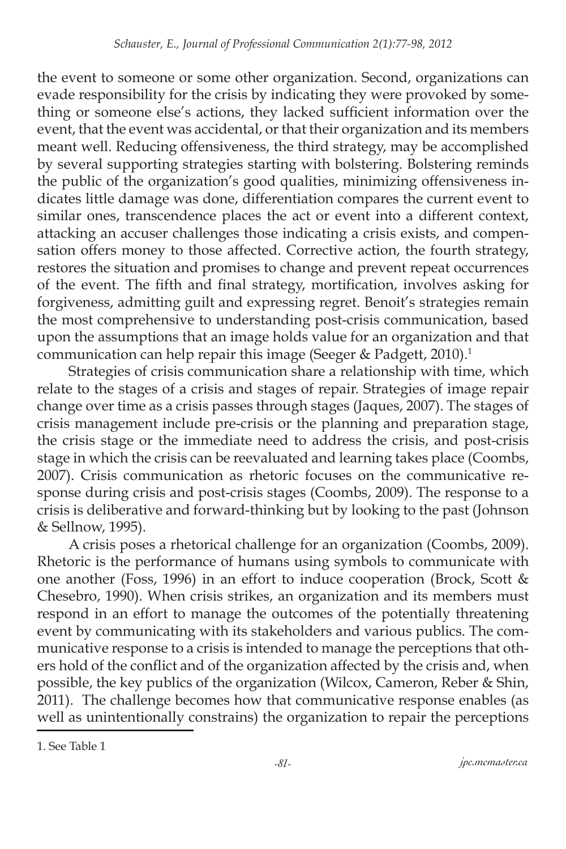the event to someone or some other organization. Second, organizations can evade responsibility for the crisis by indicating they were provoked by something or someone else's actions, they lacked sufficient information over the event, that the event was accidental, or that their organization and its members meant well. Reducing offensiveness, the third strategy, may be accomplished by several supporting strategies starting with bolstering. Bolstering reminds the public of the organization's good qualities, minimizing offensiveness indicates little damage was done, differentiation compares the current event to similar ones, transcendence places the act or event into a different context, attacking an accuser challenges those indicating a crisis exists, and compensation offers money to those affected. Corrective action, the fourth strategy, restores the situation and promises to change and prevent repeat occurrences of the event. The fifth and final strategy, mortification, involves asking for forgiveness, admitting guilt and expressing regret. Benoit's strategies remain the most comprehensive to understanding post-crisis communication, based upon the assumptions that an image holds value for an organization and that communication can help repair this image (Seeger & Padgett, 2010).<sup>1</sup>

Strategies of crisis communication share a relationship with time, which relate to the stages of a crisis and stages of repair. Strategies of image repair change over time as a crisis passes through stages (Jaques, 2007). The stages of crisis management include pre-crisis or the planning and preparation stage, the crisis stage or the immediate need to address the crisis, and post-crisis stage in which the crisis can be reevaluated and learning takes place (Coombs, 2007). Crisis communication as rhetoric focuses on the communicative response during crisis and post-crisis stages (Coombs, 2009). The response to a crisis is deliberative and forward-thinking but by looking to the past (Johnson & Sellnow, 1995).

A crisis poses a rhetorical challenge for an organization (Coombs, 2009). Rhetoric is the performance of humans using symbols to communicate with one another (Foss, 1996) in an effort to induce cooperation (Brock, Scott & Chesebro, 1990). When crisis strikes, an organization and its members must respond in an effort to manage the outcomes of the potentially threatening event by communicating with its stakeholders and various publics. The communicative response to a crisis is intended to manage the perceptions that others hold of the conflict and of the organization affected by the crisis and, when possible, the key publics of the organization (Wilcox, Cameron, Reber & Shin, 2011). The challenge becomes how that communicative response enables (as well as unintentionally constrains) the organization to repair the perceptions

<sup>1.</sup> See Table 1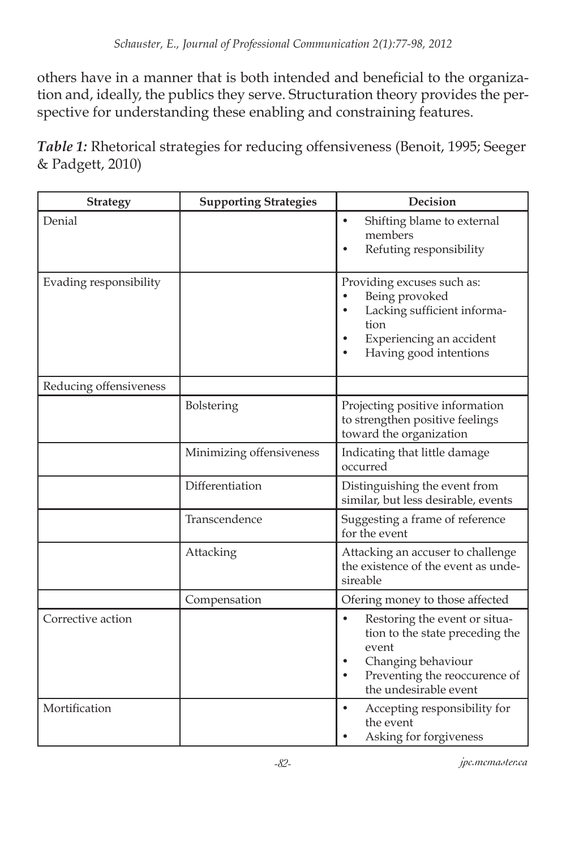others have in a manner that is both intended and beneficial to the organization and, ideally, the publics they serve. Structuration theory provides the perspective for understanding these enabling and constraining features.

*Table 1:* Rhetorical strategies for reducing offensiveness (Benoit, 1995; Seeger & Padgett, 2010)

| <b>Strategy</b>        | <b>Supporting Strategies</b> | Decision                                                                                                                                                                            |
|------------------------|------------------------------|-------------------------------------------------------------------------------------------------------------------------------------------------------------------------------------|
| Denial                 |                              | Shifting blame to external<br>members<br>Refuting responsibility                                                                                                                    |
| Evading responsibility |                              | Providing excuses such as:<br>Being provoked<br>Lacking sufficient informa-<br>tion<br>Experiencing an accident<br>Having good intentions                                           |
| Reducing offensiveness |                              |                                                                                                                                                                                     |
|                        | Bolstering                   | Projecting positive information<br>to strengthen positive feelings<br>toward the organization                                                                                       |
|                        | Minimizing offensiveness     | Indicating that little damage<br>occurred                                                                                                                                           |
|                        | Differentiation              | Distinguishing the event from<br>similar, but less desirable, events                                                                                                                |
|                        | Transcendence                | Suggesting a frame of reference<br>for the event                                                                                                                                    |
|                        | Attacking                    | Attacking an accuser to challenge<br>the existence of the event as unde-<br>sireable                                                                                                |
|                        | Compensation                 | Ofering money to those affected                                                                                                                                                     |
| Corrective action      |                              | Restoring the event or situa-<br>$\bullet$<br>tion to the state preceding the<br>event<br>Changing behaviour<br>Preventing the reoccurence of<br>$\bullet$<br>the undesirable event |
| Mortification          |                              | Accepting responsibility for<br>the event<br>Asking for forgiveness                                                                                                                 |

*-82- jpc.mcmaster.ca*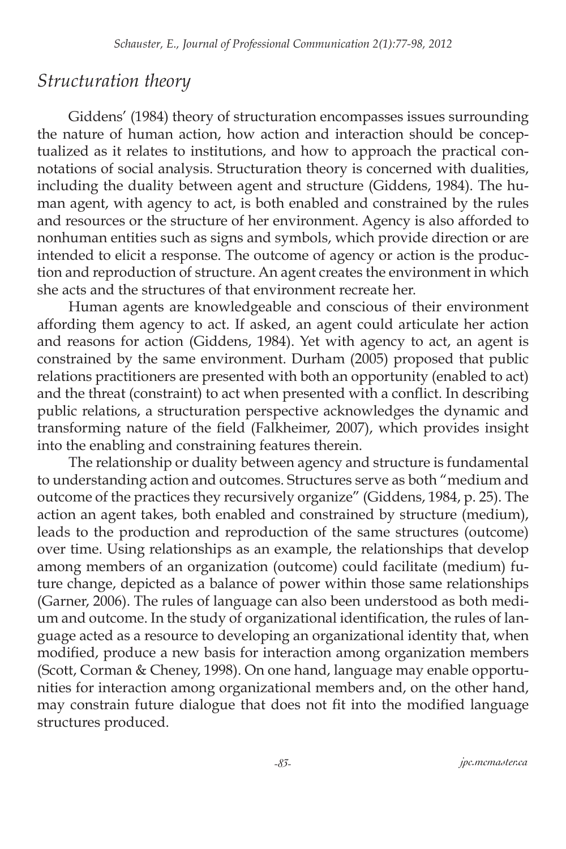#### *Structuration theory*

Giddens' (1984) theory of structuration encompasses issues surrounding the nature of human action, how action and interaction should be conceptualized as it relates to institutions, and how to approach the practical connotations of social analysis. Structuration theory is concerned with dualities, including the duality between agent and structure (Giddens, 1984). The human agent, with agency to act, is both enabled and constrained by the rules and resources or the structure of her environment. Agency is also afforded to nonhuman entities such as signs and symbols, which provide direction or are intended to elicit a response. The outcome of agency or action is the production and reproduction of structure. An agent creates the environment in which she acts and the structures of that environment recreate her.

Human agents are knowledgeable and conscious of their environment affording them agency to act. If asked, an agent could articulate her action and reasons for action (Giddens, 1984). Yet with agency to act, an agent is constrained by the same environment. Durham (2005) proposed that public relations practitioners are presented with both an opportunity (enabled to act) and the threat (constraint) to act when presented with a conflict. In describing public relations, a structuration perspective acknowledges the dynamic and transforming nature of the field (Falkheimer, 2007), which provides insight into the enabling and constraining features therein.

The relationship or duality between agency and structure is fundamental to understanding action and outcomes. Structures serve as both "medium and outcome of the practices they recursively organize" (Giddens, 1984, p. 25). The action an agent takes, both enabled and constrained by structure (medium), leads to the production and reproduction of the same structures (outcome) over time. Using relationships as an example, the relationships that develop among members of an organization (outcome) could facilitate (medium) future change, depicted as a balance of power within those same relationships (Garner, 2006). The rules of language can also been understood as both medium and outcome. In the study of organizational identification, the rules of language acted as a resource to developing an organizational identity that, when modified, produce a new basis for interaction among organization members (Scott, Corman & Cheney, 1998). On one hand, language may enable opportunities for interaction among organizational members and, on the other hand, may constrain future dialogue that does not fit into the modified language structures produced.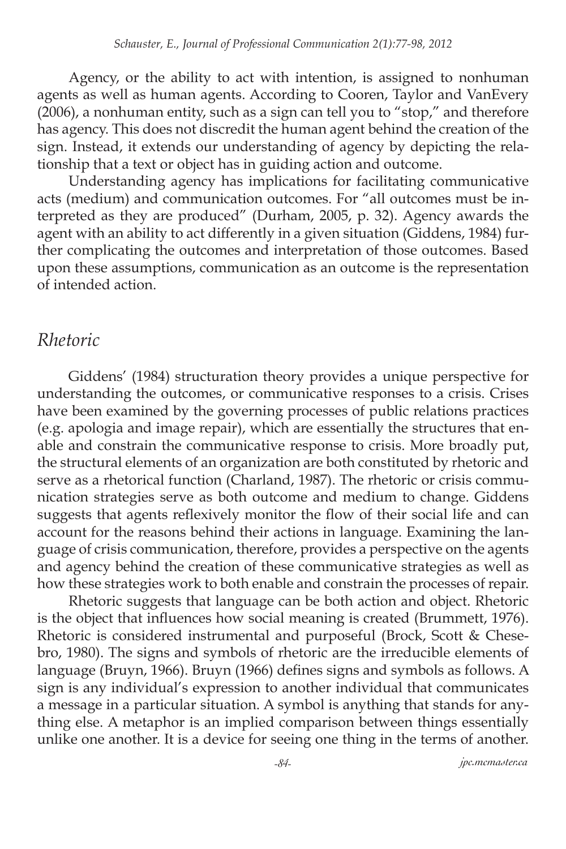Agency, or the ability to act with intention, is assigned to nonhuman agents as well as human agents. According to Cooren, Taylor and VanEvery (2006), a nonhuman entity, such as a sign can tell you to "stop," and therefore has agency. This does not discredit the human agent behind the creation of the sign. Instead, it extends our understanding of agency by depicting the relationship that a text or object has in guiding action and outcome.

Understanding agency has implications for facilitating communicative acts (medium) and communication outcomes. For "all outcomes must be interpreted as they are produced" (Durham, 2005, p. 32). Agency awards the agent with an ability to act differently in a given situation (Giddens, 1984) further complicating the outcomes and interpretation of those outcomes. Based upon these assumptions, communication as an outcome is the representation of intended action.

#### *Rhetoric*

Giddens' (1984) structuration theory provides a unique perspective for understanding the outcomes, or communicative responses to a crisis. Crises have been examined by the governing processes of public relations practices (e.g. apologia and image repair), which are essentially the structures that enable and constrain the communicative response to crisis. More broadly put, the structural elements of an organization are both constituted by rhetoric and serve as a rhetorical function (Charland, 1987). The rhetoric or crisis communication strategies serve as both outcome and medium to change. Giddens suggests that agents reflexively monitor the flow of their social life and can account for the reasons behind their actions in language. Examining the language of crisis communication, therefore, provides a perspective on the agents and agency behind the creation of these communicative strategies as well as how these strategies work to both enable and constrain the processes of repair.

Rhetoric suggests that language can be both action and object. Rhetoric is the object that influences how social meaning is created (Brummett, 1976). Rhetoric is considered instrumental and purposeful (Brock, Scott & Chesebro, 1980). The signs and symbols of rhetoric are the irreducible elements of language (Bruyn, 1966). Bruyn (1966) defines signs and symbols as follows. A sign is any individual's expression to another individual that communicates a message in a particular situation. A symbol is anything that stands for anything else. A metaphor is an implied comparison between things essentially unlike one another. It is a device for seeing one thing in the terms of another.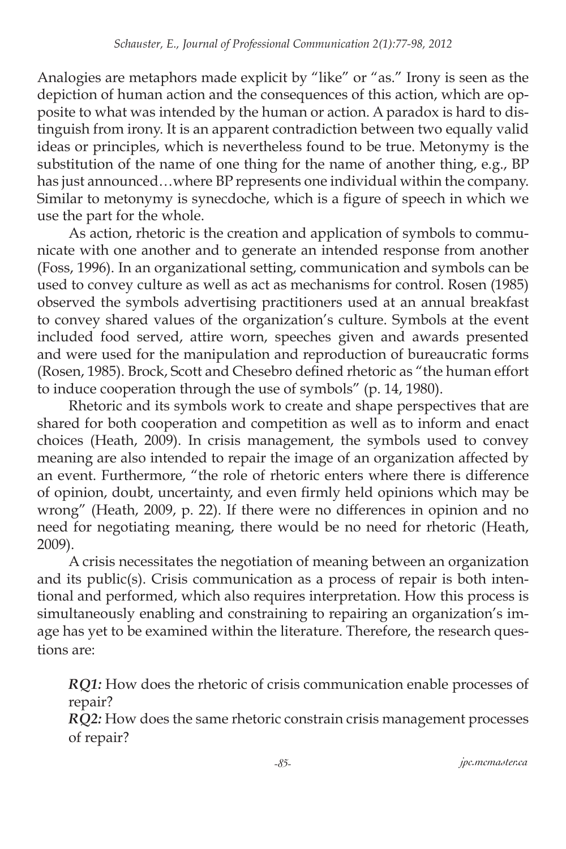Analogies are metaphors made explicit by "like" or "as." Irony is seen as the depiction of human action and the consequences of this action, which are opposite to what was intended by the human or action. A paradox is hard to distinguish from irony. It is an apparent contradiction between two equally valid ideas or principles, which is nevertheless found to be true. Metonymy is the substitution of the name of one thing for the name of another thing, e.g., BP has just announced…where BP represents one individual within the company. Similar to metonymy is synecdoche, which is a figure of speech in which we use the part for the whole.

As action, rhetoric is the creation and application of symbols to communicate with one another and to generate an intended response from another (Foss, 1996). In an organizational setting, communication and symbols can be used to convey culture as well as act as mechanisms for control. Rosen (1985) observed the symbols advertising practitioners used at an annual breakfast to convey shared values of the organization's culture. Symbols at the event included food served, attire worn, speeches given and awards presented and were used for the manipulation and reproduction of bureaucratic forms (Rosen, 1985). Brock, Scott and Chesebro defined rhetoric as "the human effort to induce cooperation through the use of symbols" (p. 14, 1980).

Rhetoric and its symbols work to create and shape perspectives that are shared for both cooperation and competition as well as to inform and enact choices (Heath, 2009). In crisis management, the symbols used to convey meaning are also intended to repair the image of an organization affected by an event. Furthermore, "the role of rhetoric enters where there is difference of opinion, doubt, uncertainty, and even firmly held opinions which may be wrong" (Heath, 2009, p. 22). If there were no differences in opinion and no need for negotiating meaning, there would be no need for rhetoric (Heath, 2009).

A crisis necessitates the negotiation of meaning between an organization and its public(s). Crisis communication as a process of repair is both intentional and performed, which also requires interpretation. How this process is simultaneously enabling and constraining to repairing an organization's image has yet to be examined within the literature. Therefore, the research questions are:

*RQ1:* How does the rhetoric of crisis communication enable processes of repair?

*RQ2:* How does the same rhetoric constrain crisis management processes of repair?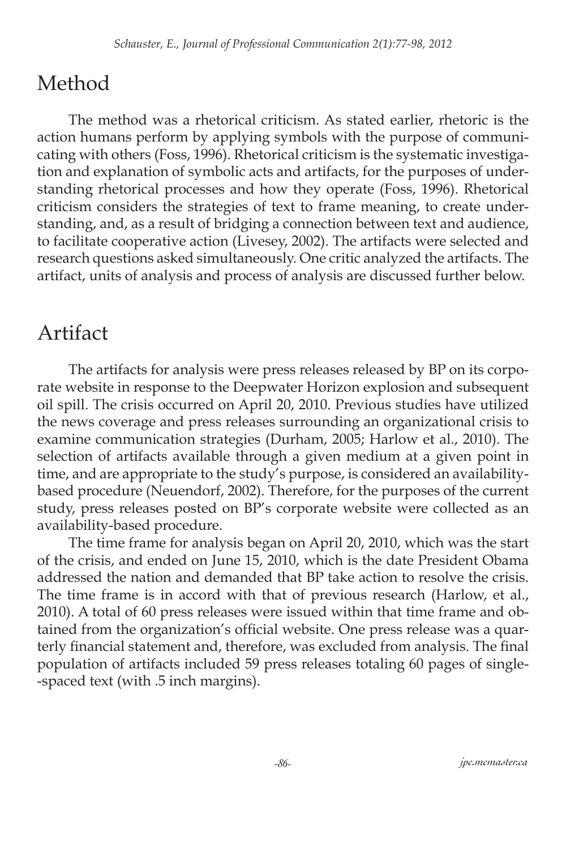## Method

The method was a rhetorical criticism. As stated earlier, rhetoric is the action humans perform by applying symbols with the purpose of communicating with others (Foss, 1996). Rhetorical criticism is the systematic investigation and explanation of symbolic acts and artifacts, for the purposes of understanding rhetorical processes and how they operate (Foss, 1996). Rhetorical criticism considers the strategies of text to frame meaning, to create understanding, and, as a result of bridging a connection between text and audience, to facilitate cooperative action (Livesey, 2002). The artifacts were selected and research questions asked simultaneously. One critic analyzed the artifacts. The artifact, units of analysis and process of analysis are discussed further below.

### Artifact

The artifacts for analysis were press releases released by BP on its corporate website in response to the Deepwater Horizon explosion and subsequent oil spill. The crisis occurred on April 20, 2010. Previous studies have utilized the news coverage and press releases surrounding an organizational crisis to examine communication strategies (Durham, 2005; Harlow et al., 2010). The selection of artifacts available through a given medium at a given point in time, and are appropriate to the study's purpose, is considered an availabilitybased procedure (Neuendorf, 2002). Therefore, for the purposes of the current study, press releases posted on BP's corporate website were collected as an availability-based procedure.

The time frame for analysis began on April 20, 2010, which was the start of the crisis, and ended on June 15, 2010, which is the date President Obama addressed the nation and demanded that BP take action to resolve the crisis. The time frame is in accord with that of previous research (Harlow, et al., 2010). A total of 60 press releases were issued within that time frame and obtained from the organization's official website. One press release was a quarterly financial statement and, therefore, was excluded from analysis. The final population of artifacts included 59 press releases totaling 60 pages of single- -spaced text (with .5 inch margins).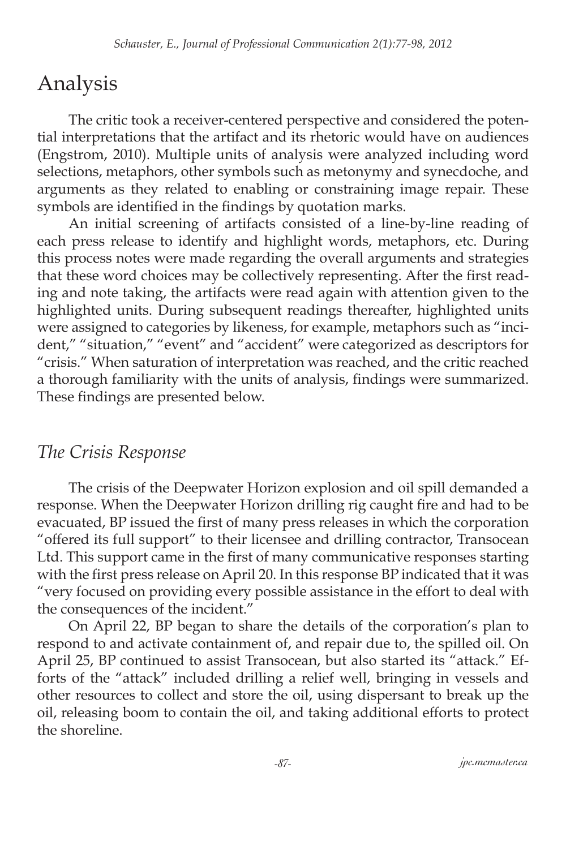### Analysis

The critic took a receiver-centered perspective and considered the potential interpretations that the artifact and its rhetoric would have on audiences (Engstrom, 2010). Multiple units of analysis were analyzed including word selections, metaphors, other symbols such as metonymy and synecdoche, and arguments as they related to enabling or constraining image repair. These symbols are identified in the findings by quotation marks.

An initial screening of artifacts consisted of a line-by-line reading of each press release to identify and highlight words, metaphors, etc. During this process notes were made regarding the overall arguments and strategies that these word choices may be collectively representing. After the first reading and note taking, the artifacts were read again with attention given to the highlighted units. During subsequent readings thereafter, highlighted units were assigned to categories by likeness, for example, metaphors such as "incident," "situation," "event" and "accident" were categorized as descriptors for "crisis." When saturation of interpretation was reached, and the critic reached a thorough familiarity with the units of analysis, findings were summarized. These findings are presented below.

### *The Crisis Response*

The crisis of the Deepwater Horizon explosion and oil spill demanded a response. When the Deepwater Horizon drilling rig caught fire and had to be evacuated, BP issued the first of many press releases in which the corporation "offered its full support" to their licensee and drilling contractor, Transocean Ltd. This support came in the first of many communicative responses starting with the first press release on April 20. In this response BP indicated that it was "very focused on providing every possible assistance in the effort to deal with the consequences of the incident."

On April 22, BP began to share the details of the corporation's plan to respond to and activate containment of, and repair due to, the spilled oil. On April 25, BP continued to assist Transocean, but also started its "attack." Efforts of the "attack" included drilling a relief well, bringing in vessels and other resources to collect and store the oil, using dispersant to break up the oil, releasing boom to contain the oil, and taking additional efforts to protect the shoreline.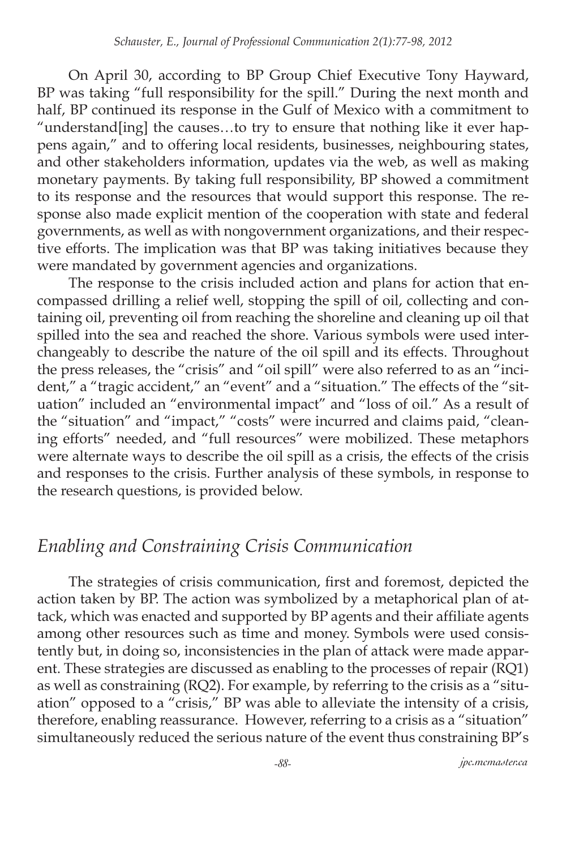On April 30, according to BP Group Chief Executive Tony Hayward, BP was taking "full responsibility for the spill." During the next month and half, BP continued its response in the Gulf of Mexico with a commitment to "understand[ing] the causes…to try to ensure that nothing like it ever happens again," and to offering local residents, businesses, neighbouring states, and other stakeholders information, updates via the web, as well as making monetary payments. By taking full responsibility, BP showed a commitment to its response and the resources that would support this response. The response also made explicit mention of the cooperation with state and federal governments, as well as with nongovernment organizations, and their respective efforts. The implication was that BP was taking initiatives because they were mandated by government agencies and organizations.

The response to the crisis included action and plans for action that encompassed drilling a relief well, stopping the spill of oil, collecting and containing oil, preventing oil from reaching the shoreline and cleaning up oil that spilled into the sea and reached the shore. Various symbols were used interchangeably to describe the nature of the oil spill and its effects. Throughout the press releases, the "crisis" and "oil spill" were also referred to as an "incident," a "tragic accident," an "event" and a "situation." The effects of the "situation" included an "environmental impact" and "loss of oil." As a result of the "situation" and "impact," "costs" were incurred and claims paid, "cleaning efforts" needed, and "full resources" were mobilized. These metaphors were alternate ways to describe the oil spill as a crisis, the effects of the crisis and responses to the crisis. Further analysis of these symbols, in response to the research questions, is provided below.

### *Enabling and Constraining Crisis Communication*

The strategies of crisis communication, first and foremost, depicted the action taken by BP. The action was symbolized by a metaphorical plan of attack, which was enacted and supported by BP agents and their affiliate agents among other resources such as time and money. Symbols were used consistently but, in doing so, inconsistencies in the plan of attack were made apparent. These strategies are discussed as enabling to the processes of repair (RQ1) as well as constraining (RQ2). For example, by referring to the crisis as a "situation" opposed to a "crisis," BP was able to alleviate the intensity of a crisis, therefore, enabling reassurance. However, referring to a crisis as a "situation" simultaneously reduced the serious nature of the event thus constraining BP's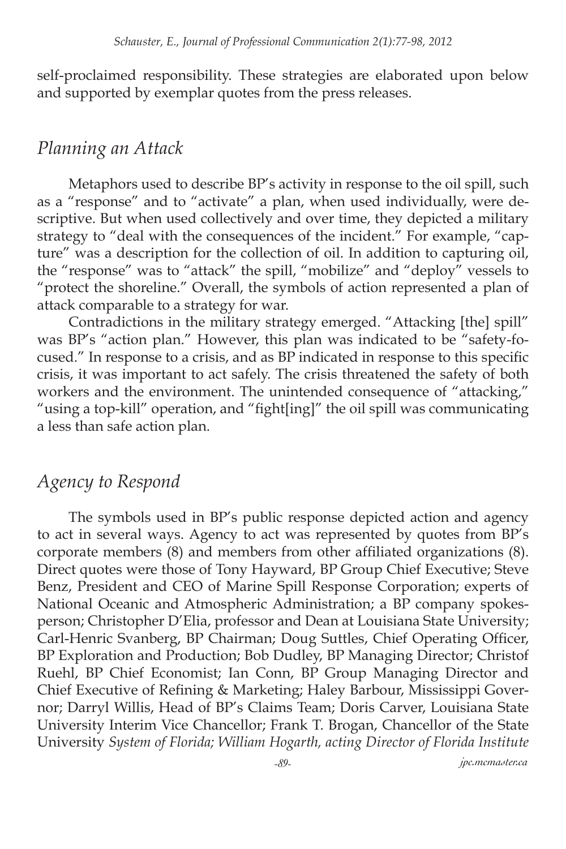self-proclaimed responsibility. These strategies are elaborated upon below and supported by exemplar quotes from the press releases.

#### *Planning an Attack*

Metaphors used to describe BP's activity in response to the oil spill, such as a "response" and to "activate" a plan, when used individually, were descriptive. But when used collectively and over time, they depicted a military strategy to "deal with the consequences of the incident." For example, "capture" was a description for the collection of oil. In addition to capturing oil, the "response" was to "attack" the spill, "mobilize" and "deploy" vessels to "protect the shoreline." Overall, the symbols of action represented a plan of attack comparable to a strategy for war.

Contradictions in the military strategy emerged. "Attacking [the] spill" was BP's "action plan." However, this plan was indicated to be "safety-focused." In response to a crisis, and as BP indicated in response to this specific crisis, it was important to act safely. The crisis threatened the safety of both workers and the environment. The unintended consequence of "attacking," "using a top-kill" operation, and "fight[ing]" the oil spill was communicating a less than safe action plan.

#### *Agency to Respond*

The symbols used in BP's public response depicted action and agency to act in several ways. Agency to act was represented by quotes from BP's corporate members (8) and members from other affiliated organizations (8). Direct quotes were those of Tony Hayward, BP Group Chief Executive; Steve Benz, President and CEO of Marine Spill Response Corporation; experts of National Oceanic and Atmospheric Administration; a BP company spokesperson; Christopher D'Elia, professor and Dean at Louisiana State University; Carl-Henric Svanberg, BP Chairman; Doug Suttles, Chief Operating Officer, BP Exploration and Production; Bob Dudley, BP Managing Director; Christof Ruehl, BP Chief Economist; Ian Conn, BP Group Managing Director and Chief Executive of Refining & Marketing; Haley Barbour, Mississippi Governor; Darryl Willis, Head of BP's Claims Team; Doris Carver, Louisiana State University Interim Vice Chancellor; Frank T. Brogan, Chancellor of the State University *System of Florida; William Hogarth, acting Director of Florida Institute* 

*-89- jpc.mcmaster.ca*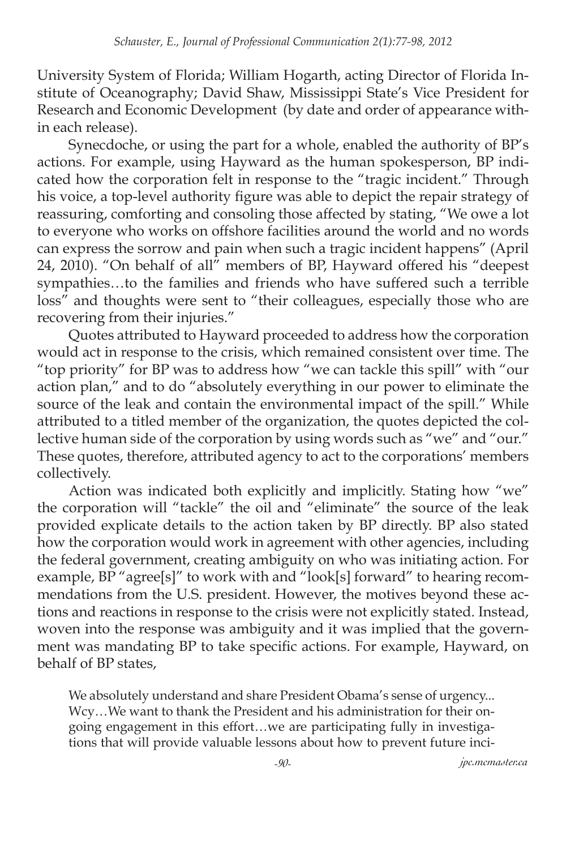University System of Florida; William Hogarth, acting Director of Florida Institute of Oceanography; David Shaw, Mississippi State's Vice President for Research and Economic Development (by date and order of appearance within each release).

Synecdoche, or using the part for a whole, enabled the authority of BP's actions. For example, using Hayward as the human spokesperson, BP indicated how the corporation felt in response to the "tragic incident." Through his voice, a top-level authority figure was able to depict the repair strategy of reassuring, comforting and consoling those affected by stating, "We owe a lot to everyone who works on offshore facilities around the world and no words can express the sorrow and pain when such a tragic incident happens" (April 24, 2010). "On behalf of all" members of BP, Hayward offered his "deepest sympathies…to the families and friends who have suffered such a terrible loss" and thoughts were sent to "their colleagues, especially those who are recovering from their injuries."

Quotes attributed to Hayward proceeded to address how the corporation would act in response to the crisis, which remained consistent over time. The "top priority" for BP was to address how "we can tackle this spill" with "our action plan," and to do "absolutely everything in our power to eliminate the source of the leak and contain the environmental impact of the spill." While attributed to a titled member of the organization, the quotes depicted the collective human side of the corporation by using words such as "we" and "our." These quotes, therefore, attributed agency to act to the corporations' members collectively.

Action was indicated both explicitly and implicitly. Stating how "we" the corporation will "tackle" the oil and "eliminate" the source of the leak provided explicate details to the action taken by BP directly. BP also stated how the corporation would work in agreement with other agencies, including the federal government, creating ambiguity on who was initiating action. For example, BP<sup>"</sup>agree[s]" to work with and "look[s] forward" to hearing recommendations from the U.S. president. However, the motives beyond these actions and reactions in response to the crisis were not explicitly stated. Instead, woven into the response was ambiguity and it was implied that the government was mandating BP to take specific actions. For example, Hayward, on behalf of BP states,

We absolutely understand and share President Obama's sense of urgency... Wcy…We want to thank the President and his administration for their ongoing engagement in this effort…we are participating fully in investigations that will provide valuable lessons about how to prevent future inci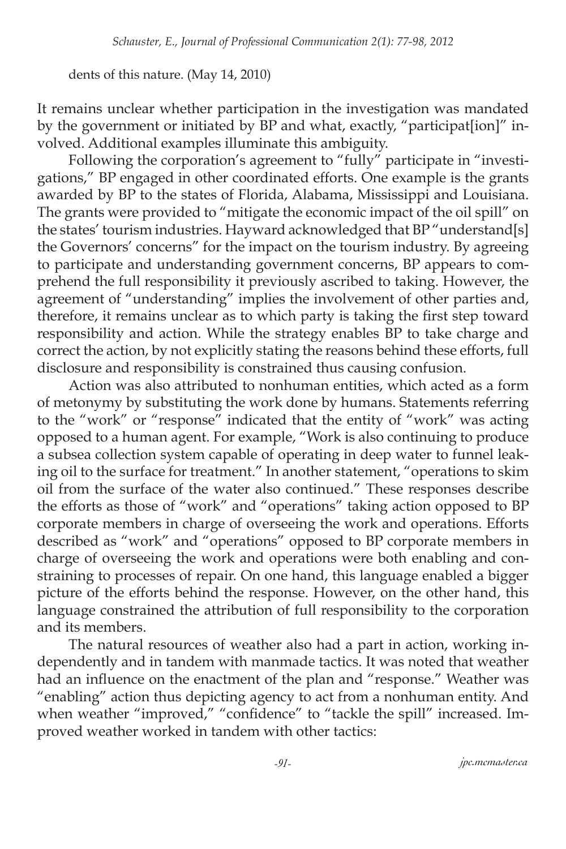dents of this nature. (May 14, 2010)

It remains unclear whether participation in the investigation was mandated by the government or initiated by BP and what, exactly, "participat[ion]" involved. Additional examples illuminate this ambiguity.

Following the corporation's agreement to "fully" participate in "investigations," BP engaged in other coordinated efforts. One example is the grants awarded by BP to the states of Florida, Alabama, Mississippi and Louisiana. The grants were provided to "mitigate the economic impact of the oil spill" on the states' tourism industries. Hayward acknowledged that BP "understand[s] the Governors' concerns" for the impact on the tourism industry. By agreeing to participate and understanding government concerns, BP appears to comprehend the full responsibility it previously ascribed to taking. However, the agreement of "understanding" implies the involvement of other parties and, therefore, it remains unclear as to which party is taking the first step toward responsibility and action. While the strategy enables BP to take charge and correct the action, by not explicitly stating the reasons behind these efforts, full disclosure and responsibility is constrained thus causing confusion.

Action was also attributed to nonhuman entities, which acted as a form of metonymy by substituting the work done by humans. Statements referring to the "work" or "response" indicated that the entity of "work" was acting opposed to a human agent. For example, "Work is also continuing to produce a subsea collection system capable of operating in deep water to funnel leaking oil to the surface for treatment." In another statement, "operations to skim oil from the surface of the water also continued." These responses describe the efforts as those of "work" and "operations" taking action opposed to BP corporate members in charge of overseeing the work and operations. Efforts described as "work" and "operations" opposed to BP corporate members in charge of overseeing the work and operations were both enabling and constraining to processes of repair. On one hand, this language enabled a bigger picture of the efforts behind the response. However, on the other hand, this language constrained the attribution of full responsibility to the corporation and its members.

The natural resources of weather also had a part in action, working independently and in tandem with manmade tactics. It was noted that weather had an influence on the enactment of the plan and "response." Weather was "enabling" action thus depicting agency to act from a nonhuman entity. And when weather "improved," "confidence" to "tackle the spill" increased. Improved weather worked in tandem with other tactics: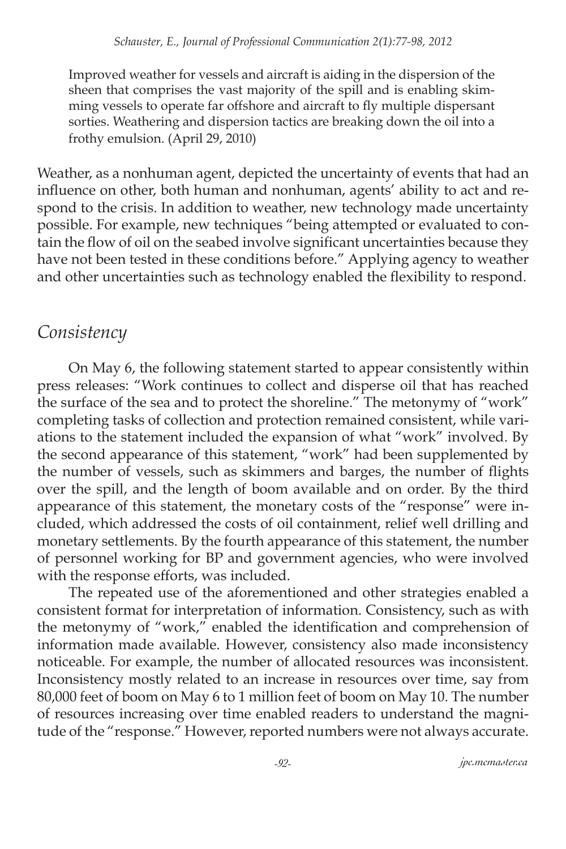Improved weather for vessels and aircraft is aiding in the dispersion of the sheen that comprises the vast majority of the spill and is enabling skimming vessels to operate far offshore and aircraft to fly multiple dispersant sorties. Weathering and dispersion tactics are breaking down the oil into a frothy emulsion. (April 29, 2010)

Weather, as a nonhuman agent, depicted the uncertainty of events that had an influence on other, both human and nonhuman, agents' ability to act and respond to the crisis. In addition to weather, new technology made uncertainty possible. For example, new techniques "being attempted or evaluated to contain the flow of oil on the seabed involve significant uncertainties because they have not been tested in these conditions before." Applying agency to weather and other uncertainties such as technology enabled the flexibility to respond.

### *Consistency*

On May 6, the following statement started to appear consistently within press releases: "Work continues to collect and disperse oil that has reached the surface of the sea and to protect the shoreline." The metonymy of "work" completing tasks of collection and protection remained consistent, while variations to the statement included the expansion of what "work" involved. By the second appearance of this statement, "work" had been supplemented by the number of vessels, such as skimmers and barges, the number of flights over the spill, and the length of boom available and on order. By the third appearance of this statement, the monetary costs of the "response" were included, which addressed the costs of oil containment, relief well drilling and monetary settlements. By the fourth appearance of this statement, the number of personnel working for BP and government agencies, who were involved with the response efforts, was included.

The repeated use of the aforementioned and other strategies enabled a consistent format for interpretation of information. Consistency, such as with the metonymy of "work," enabled the identification and comprehension of information made available. However, consistency also made inconsistency noticeable. For example, the number of allocated resources was inconsistent. Inconsistency mostly related to an increase in resources over time, say from 80,000 feet of boom on May 6 to 1 million feet of boom on May 10. The number of resources increasing over time enabled readers to understand the magnitude of the "response." However, reported numbers were not always accurate.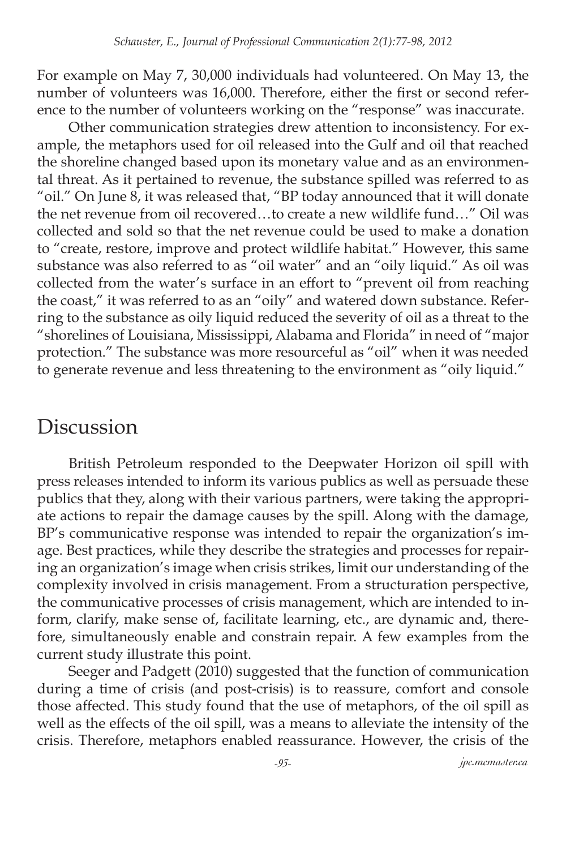For example on May 7, 30,000 individuals had volunteered. On May 13, the number of volunteers was 16,000. Therefore, either the first or second reference to the number of volunteers working on the "response" was inaccurate.

Other communication strategies drew attention to inconsistency. For example, the metaphors used for oil released into the Gulf and oil that reached the shoreline changed based upon its monetary value and as an environmental threat. As it pertained to revenue, the substance spilled was referred to as "oil." On June 8, it was released that, "BP today announced that it will donate the net revenue from oil recovered…to create a new wildlife fund…" Oil was collected and sold so that the net revenue could be used to make a donation to "create, restore, improve and protect wildlife habitat." However, this same substance was also referred to as "oil water" and an "oily liquid." As oil was collected from the water's surface in an effort to "prevent oil from reaching the coast," it was referred to as an "oily" and watered down substance. Referring to the substance as oily liquid reduced the severity of oil as a threat to the "shorelines of Louisiana, Mississippi, Alabama and Florida" in need of "major protection." The substance was more resourceful as "oil" when it was needed to generate revenue and less threatening to the environment as "oily liquid."

### Discussion

British Petroleum responded to the Deepwater Horizon oil spill with press releases intended to inform its various publics as well as persuade these publics that they, along with their various partners, were taking the appropriate actions to repair the damage causes by the spill. Along with the damage, BP's communicative response was intended to repair the organization's image. Best practices, while they describe the strategies and processes for repairing an organization's image when crisis strikes, limit our understanding of the complexity involved in crisis management. From a structuration perspective, the communicative processes of crisis management, which are intended to inform, clarify, make sense of, facilitate learning, etc., are dynamic and, therefore, simultaneously enable and constrain repair. A few examples from the current study illustrate this point.

Seeger and Padgett (2010) suggested that the function of communication during a time of crisis (and post-crisis) is to reassure, comfort and console those affected. This study found that the use of metaphors, of the oil spill as well as the effects of the oil spill, was a means to alleviate the intensity of the crisis. Therefore, metaphors enabled reassurance. However, the crisis of the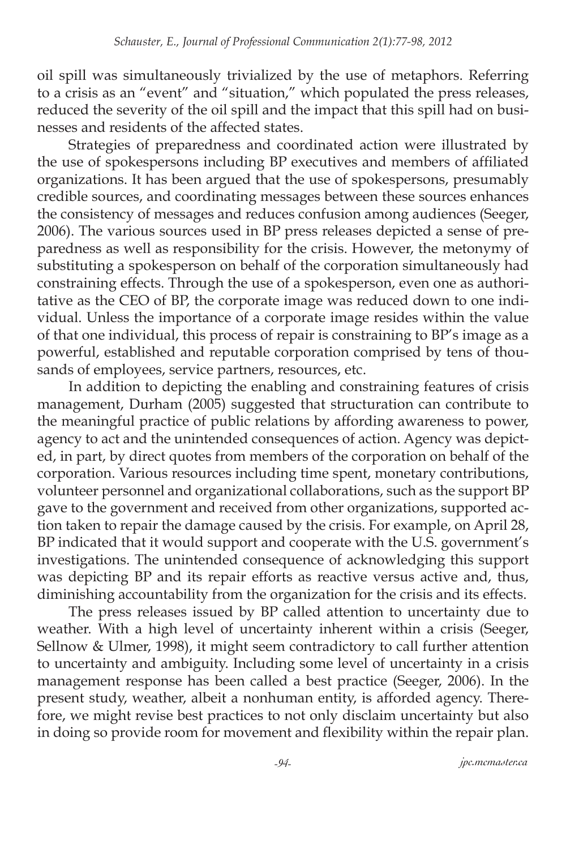oil spill was simultaneously trivialized by the use of metaphors. Referring to a crisis as an "event" and "situation," which populated the press releases, reduced the severity of the oil spill and the impact that this spill had on businesses and residents of the affected states.

Strategies of preparedness and coordinated action were illustrated by the use of spokespersons including BP executives and members of affiliated organizations. It has been argued that the use of spokespersons, presumably credible sources, and coordinating messages between these sources enhances the consistency of messages and reduces confusion among audiences (Seeger, 2006). The various sources used in BP press releases depicted a sense of preparedness as well as responsibility for the crisis. However, the metonymy of substituting a spokesperson on behalf of the corporation simultaneously had constraining effects. Through the use of a spokesperson, even one as authoritative as the CEO of BP, the corporate image was reduced down to one individual. Unless the importance of a corporate image resides within the value of that one individual, this process of repair is constraining to BP's image as a powerful, established and reputable corporation comprised by tens of thousands of employees, service partners, resources, etc.

In addition to depicting the enabling and constraining features of crisis management, Durham (2005) suggested that structuration can contribute to the meaningful practice of public relations by affording awareness to power, agency to act and the unintended consequences of action. Agency was depicted, in part, by direct quotes from members of the corporation on behalf of the corporation. Various resources including time spent, monetary contributions, volunteer personnel and organizational collaborations, such as the support BP gave to the government and received from other organizations, supported action taken to repair the damage caused by the crisis. For example, on April 28, BP indicated that it would support and cooperate with the U.S. government's investigations. The unintended consequence of acknowledging this support was depicting BP and its repair efforts as reactive versus active and, thus, diminishing accountability from the organization for the crisis and its effects.

The press releases issued by BP called attention to uncertainty due to weather. With a high level of uncertainty inherent within a crisis (Seeger, Sellnow & Ulmer, 1998), it might seem contradictory to call further attention to uncertainty and ambiguity. Including some level of uncertainty in a crisis management response has been called a best practice (Seeger, 2006). In the present study, weather, albeit a nonhuman entity, is afforded agency. Therefore, we might revise best practices to not only disclaim uncertainty but also in doing so provide room for movement and flexibility within the repair plan.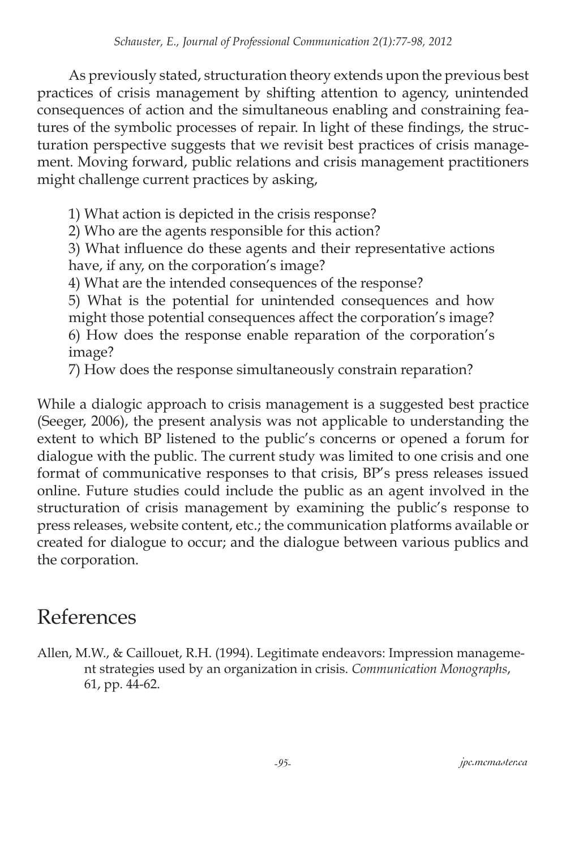As previously stated, structuration theory extends upon the previous best practices of crisis management by shifting attention to agency, unintended consequences of action and the simultaneous enabling and constraining features of the symbolic processes of repair. In light of these findings, the structuration perspective suggests that we revisit best practices of crisis management. Moving forward, public relations and crisis management practitioners might challenge current practices by asking,

1) What action is depicted in the crisis response?

2) Who are the agents responsible for this action?

3) What influence do these agents and their representative actions have, if any, on the corporation's image?

4) What are the intended consequences of the response?

5) What is the potential for unintended consequences and how might those potential consequences affect the corporation's image? 6) How does the response enable reparation of the corporation's image?

7) How does the response simultaneously constrain reparation?

While a dialogic approach to crisis management is a suggested best practice (Seeger, 2006), the present analysis was not applicable to understanding the extent to which BP listened to the public's concerns or opened a forum for dialogue with the public. The current study was limited to one crisis and one format of communicative responses to that crisis, BP's press releases issued online. Future studies could include the public as an agent involved in the structuration of crisis management by examining the public's response to press releases, website content, etc.; the communication platforms available or created for dialogue to occur; and the dialogue between various publics and the corporation.

### References

Allen, M.W., & Caillouet, R.H. (1994). Legitimate endeavors: Impression management strategies used by an organization in crisis. *Communication Monographs*, 61, pp. 44-62.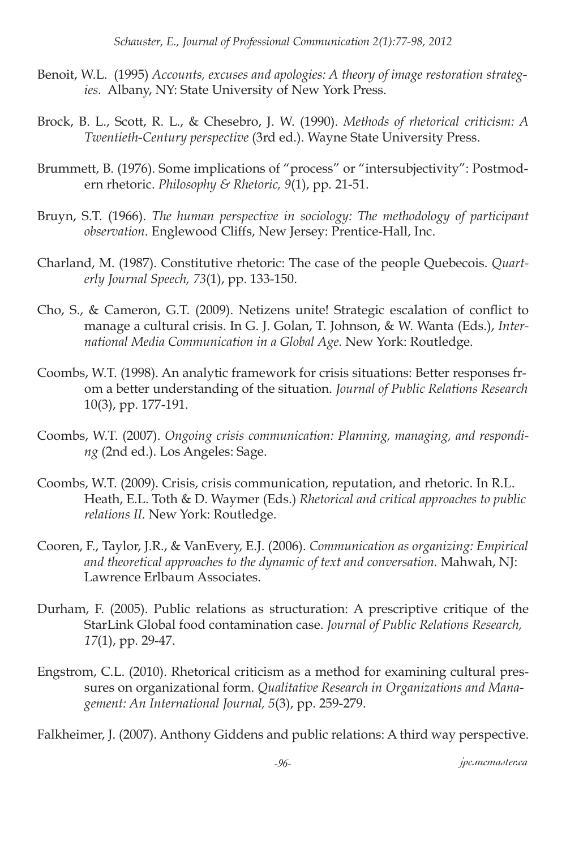- Benoit, W.L. (1995) *Accounts, excuses and apologies: A theory of image restoration strategies.* Albany, NY: State University of New York Press.
- Brock, B. L., Scott, R. L., & Chesebro, J. W. (1990). *Methods of rhetorical criticism: A Twentieth-Century perspective* (3rd ed.). Wayne State University Press.
- Brummett, B. (1976). Some implications of "process" or "intersubjectivity": Postmodern rhetoric. *Philosophy & Rhetoric, 9*(1), pp. 21-51.
- Bruyn, S.T. (1966). *The human perspective in sociology: The methodology of participant observation*. Englewood Cliffs, New Jersey: Prentice-Hall, Inc.
- Charland, M. (1987). Constitutive rhetoric: The case of the people Quebecois. *Quarterly Journal Speech, 73*(1), pp. 133-150.
- Cho, S., & Cameron, G.T. (2009). Netizens unite! Strategic escalation of conflict to manage a cultural crisis. In G. J. Golan, T. Johnson, & W. Wanta (Eds.), *International Media Communication in a Global Age.* New York: Routledge.
- Coombs, W.T. (1998). An analytic framework for crisis situations: Better responses from a better understanding of the situation. *Journal of Public Relations Research* 10(3), pp. 177-191.
- Coombs, W.T. (2007). *Ongoing crisis communication: Planning, managing, and responding* (2nd ed.). Los Angeles: Sage.
- Coombs, W.T. (2009). Crisis, crisis communication, reputation, and rhetoric. In R.L. Heath, E.L. Toth & D. Waymer (Eds.) *Rhetorical and critical approaches to public relations II.* New York: Routledge.
- Cooren, F., Taylor, J.R., & VanEvery, E.J. (2006). *Communication as organizing: Empirical and theoretical approaches to the dynamic of text and conversation.* Mahwah, NJ: Lawrence Erlbaum Associates.
- Durham, F. (2005). Public relations as structuration: A prescriptive critique of the StarLink Global food contamination case. *Journal of Public Relations Research, 17*(1), pp. 29-47.
- Engstrom, C.L. (2010). Rhetorical criticism as a method for examining cultural pressures on organizational form. *Qualitative Research in Organizations and Management: An International Journal, 5*(3), pp. 259-279.

Falkheimer, J. (2007). Anthony Giddens and public relations: A third way perspective.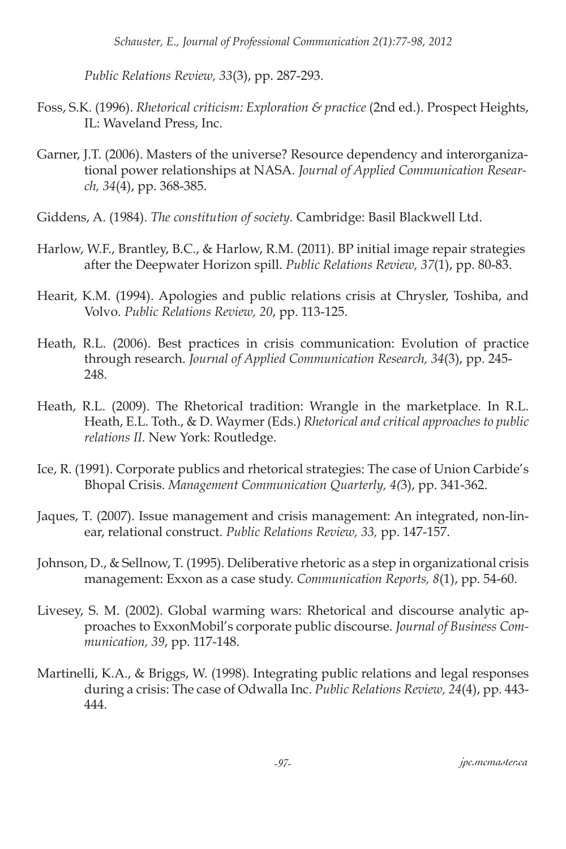*Public Relations Review, 33*(3), pp. 287-293.

- Foss, S.K. (1996). *Rhetorical criticism: Exploration & practice* (2nd ed.). Prospect Heights, IL: Waveland Press, Inc.
- Garner, J.T. (2006). Masters of the universe? Resource dependency and interorganizational power relationships at NASA. *Journal of Applied Communication Research, 34*(4), pp. 368-385.
- Giddens, A. (1984). *The constitution of society.* Cambridge: Basil Blackwell Ltd.
- Harlow, W.F., Brantley, B.C., & Harlow, R.M. (2011). BP initial image repair strategies after the Deepwater Horizon spill. *Public Relations Review, 37*(1), pp. 80-83.
- Hearit, K.M. (1994). Apologies and public relations crisis at Chrysler, Toshiba, and Volvo. *Public Relations Review, 20*, pp. 113-125.
- Heath, R.L. (2006). Best practices in crisis communication: Evolution of practice through research. *Journal of Applied Communication Research, 34*(3), pp. 245- 248.
- Heath, R.L. (2009). The Rhetorical tradition: Wrangle in the marketplace. In R.L. Heath, E.L. Toth., & D. Waymer (Eds.) *Rhetorical and critical approaches to public relations II.* New York: Routledge.
- Ice, R. (1991). Corporate publics and rhetorical strategies: The case of Union Carbide's Bhopal Crisis. *Management Communication Quarterly, 4(*3), pp. 341-362.
- Jaques, T. (2007). Issue management and crisis management: An integrated, non-linear, relational construct. *Public Relations Review, 33,* pp. 147-157.
- Johnson, D., & Sellnow, T. (1995). Deliberative rhetoric as a step in organizational crisis management: Exxon as a case study. *Communication Reports, 8*(1), pp. 54-60.
- Livesey, S. M. (2002). Global warming wars: Rhetorical and discourse analytic approaches to ExxonMobil's corporate public discourse. *Journal of Business Communication, 39*, pp. 117-148.
- Martinelli, K.A., & Briggs, W. (1998). Integrating public relations and legal responses during a crisis: The case of Odwalla Inc. *Public Relations Review, 24*(4), pp. 443- 444.